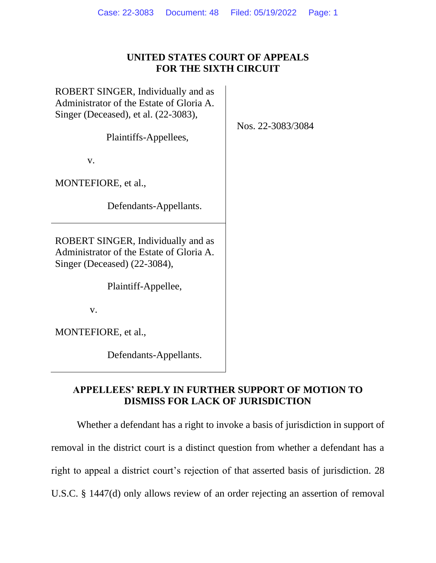# **UNITED STATES COURT OF APPEALS FOR THE SIXTH CIRCUIT**

ROBERT SINGER, Individually and as Administrator of the Estate of Gloria A. Singer (Deceased), et al. (22-3083),

Plaintiffs-Appellees,

v.

MONTEFIORE, et al.,

Defendants-Appellants.

ROBERT SINGER, Individually and as Administrator of the Estate of Gloria A. Singer (Deceased) (22-3084),

Plaintiff-Appellee,

v.

MONTEFIORE, et al.,

Defendants-Appellants.

# **APPELLEES' REPLY IN FURTHER SUPPORT OF MOTION TO DISMISS FOR LACK OF JURISDICTION**

Whether a defendant has a right to invoke a basis of jurisdiction in support of removal in the district court is a distinct question from whether a defendant has a right to appeal a district court's rejection of that asserted basis of jurisdiction. 28 U.S.C. § 1447(d) only allows review of an order rejecting an assertion of removal

Nos. 22-3083/3084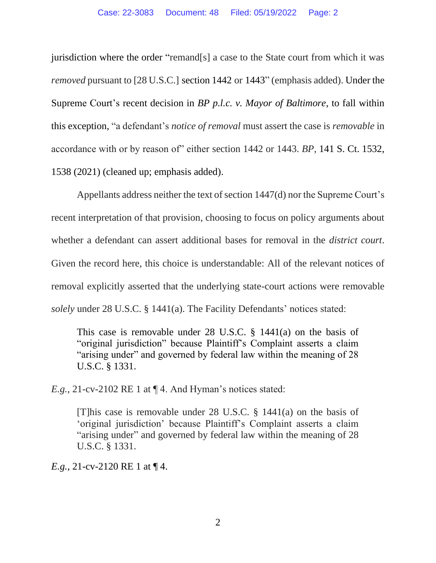jurisdiction where the order "remand[s] a case to the State court from which it was *removed* pursuant to [28 U.S.C.] section 1442 or 1443" (emphasis added). Under the Supreme Court's recent decision in *BP p.l.c. v. Mayor of Baltimore*, to fall within this exception, "a defendant's *notice of removal* must assert the case is *removable* in accordance with or by reason of" either section 1442 or 1443. *BP*, 141 S. Ct. 1532, 1538 (2021) (cleaned up; emphasis added).

Appellants address neither the text of section 1447(d) nor the Supreme Court's recent interpretation of that provision, choosing to focus on policy arguments about whether a defendant can assert additional bases for removal in the *district court*. Given the record here, this choice is understandable: All of the relevant notices of removal explicitly asserted that the underlying state-court actions were removable *solely* under 28 U.S.C. § 1441(a). The Facility Defendants' notices stated:

This case is removable under 28 U.S.C. § 1441(a) on the basis of "original jurisdiction" because Plaintiff's Complaint asserts a claim "arising under" and governed by federal law within the meaning of 28 U.S.C. § 1331.

*E.g.*, 21-cv-2102 RE 1 at  $\P$  4. And Hyman's notices stated:

[T]his case is removable under 28 U.S.C. § 1441(a) on the basis of 'original jurisdiction' because Plaintiff's Complaint asserts a claim "arising under" and governed by federal law within the meaning of 28 U.S.C. § 1331.

*E.g.*, 21-cv-2120 RE 1 at  $\P$  4.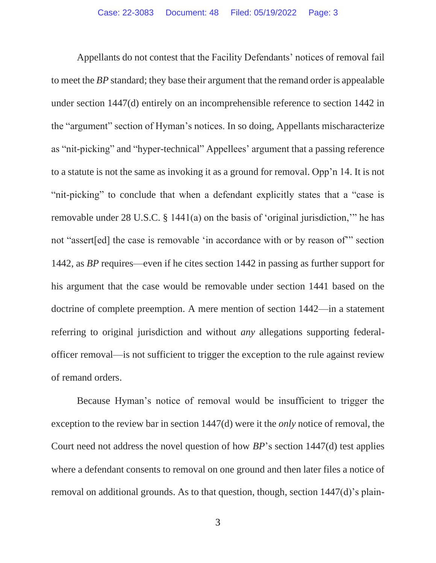Appellants do not contest that the Facility Defendants' notices of removal fail to meet the *BP* standard; they base their argument that the remand order is appealable under section 1447(d) entirely on an incomprehensible reference to section 1442 in the "argument" section of Hyman's notices. In so doing, Appellants mischaracterize as "nit-picking" and "hyper-technical" Appellees' argument that a passing reference to a statute is not the same as invoking it as a ground for removal. Opp'n 14. It is not "nit-picking" to conclude that when a defendant explicitly states that a "case is removable under 28 U.S.C. § 1441(a) on the basis of 'original jurisdiction,'" he has not "assert[ed] the case is removable 'in accordance with or by reason of'" section 1442, as *BP* requires—even if he cites section 1442 in passing as further support for his argument that the case would be removable under section 1441 based on the doctrine of complete preemption. A mere mention of section 1442—in a statement referring to original jurisdiction and without *any* allegations supporting federalofficer removal—is not sufficient to trigger the exception to the rule against review of remand orders.

Because Hyman's notice of removal would be insufficient to trigger the exception to the review bar in section 1447(d) were it the *only* notice of removal, the Court need not address the novel question of how *BP*'s section 1447(d) test applies where a defendant consents to removal on one ground and then later files a notice of removal on additional grounds. As to that question, though, section 1447(d)'s plain-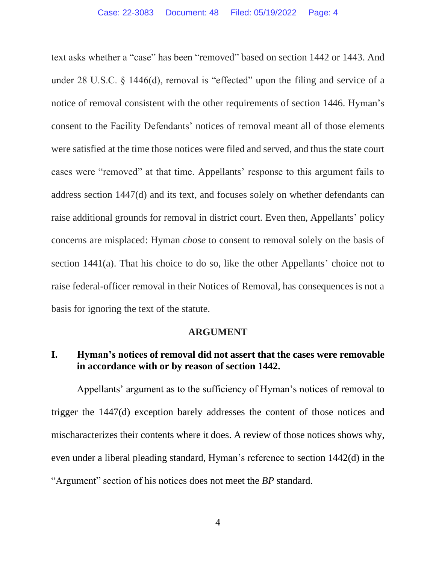text asks whether a "case" has been "removed" based on section 1442 or 1443. And under 28 U.S.C. § 1446(d), removal is "effected" upon the filing and service of a notice of removal consistent with the other requirements of section 1446. Hyman's consent to the Facility Defendants' notices of removal meant all of those elements were satisfied at the time those notices were filed and served, and thus the state court cases were "removed" at that time. Appellants' response to this argument fails to address section 1447(d) and its text, and focuses solely on whether defendants can raise additional grounds for removal in district court. Even then, Appellants' policy concerns are misplaced: Hyman *chose* to consent to removal solely on the basis of section 1441(a). That his choice to do so, like the other Appellants' choice not to raise federal-officer removal in their Notices of Removal, has consequences is not a basis for ignoring the text of the statute.

#### **ARGUMENT**

## **I. Hyman's notices of removal did not assert that the cases were removable in accordance with or by reason of section 1442.**

Appellants' argument as to the sufficiency of Hyman's notices of removal to trigger the 1447(d) exception barely addresses the content of those notices and mischaracterizes their contents where it does. A review of those notices shows why, even under a liberal pleading standard, Hyman's reference to section 1442(d) in the "Argument" section of his notices does not meet the *BP* standard.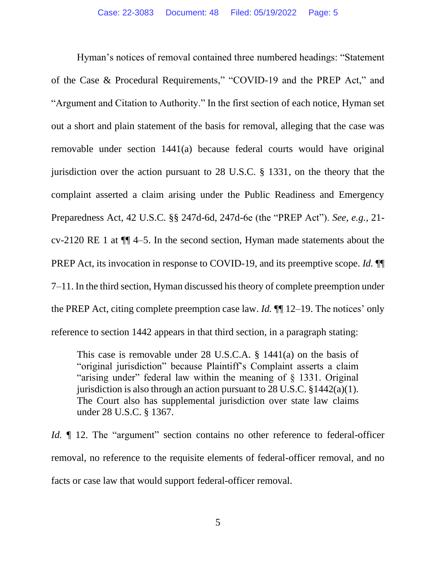Hyman's notices of removal contained three numbered headings: "Statement of the Case & Procedural Requirements," "COVID-19 and the PREP Act," and "Argument and Citation to Authority." In the first section of each notice, Hyman set out a short and plain statement of the basis for removal, alleging that the case was removable under section 1441(a) because federal courts would have original jurisdiction over the action pursuant to 28 U.S.C. § 1331, on the theory that the complaint asserted a claim arising under the Public Readiness and Emergency Preparedness Act, 42 U.S.C. §§ 247d-6d, 247d-6e (the "PREP Act"). *See, e.g.*, 21 cv-2120 RE 1 at ¶¶ 4–5. In the second section, Hyman made statements about the PREP Act, its invocation in response to COVID-19, and its preemptive scope. *Id.* ¶¶ 7–11. In the third section, Hyman discussed his theory of complete preemption under the PREP Act, citing complete preemption case law. *Id.* ¶¶ 12–19. The notices' only reference to section 1442 appears in that third section, in a paragraph stating:

This case is removable under 28 U.S.C.A. § 1441(a) on the basis of "original jurisdiction" because Plaintiff's Complaint asserts a claim "arising under" federal law within the meaning of § 1331. Original jurisdiction is also through an action pursuant to 28 U.S.C.  $\S 1442(a)(1)$ . The Court also has supplemental jurisdiction over state law claims under 28 U.S.C. § 1367.

*Id.*  $\parallel$  12. The "argument" section contains no other reference to federal-officer removal, no reference to the requisite elements of federal-officer removal, and no facts or case law that would support federal-officer removal.

5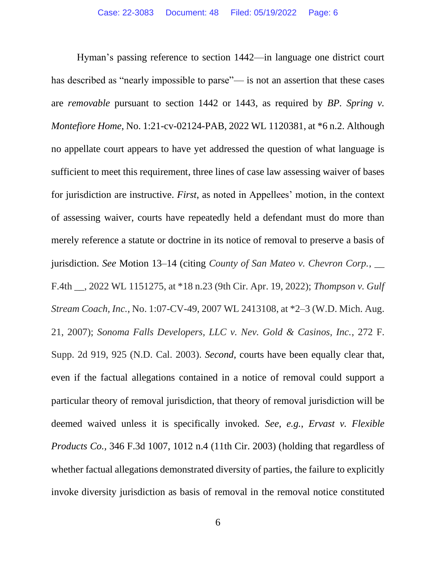Hyman's passing reference to section 1442—in language one district court has described as "nearly impossible to parse"— is not an assertion that these cases are *removable* pursuant to section 1442 or 1443, as required by *BP. Spring v. Montefiore Home*, No. 1:21-cv-02124-PAB, 2022 WL 1120381, at \*6 n.2. Although no appellate court appears to have yet addressed the question of what language is sufficient to meet this requirement, three lines of case law assessing waiver of bases for jurisdiction are instructive. *First*, as noted in Appellees' motion, in the context of assessing waiver, courts have repeatedly held a defendant must do more than merely reference a statute or doctrine in its notice of removal to preserve a basis of jurisdiction. *See* Motion 13–14 (citing *County of San Mateo v. Chevron Corp.*, \_\_ F.4th \_\_, 2022 WL 1151275, at \*18 n.23 (9th Cir. Apr. 19, 2022); *Thompson v. Gulf Stream Coach, Inc.*, No. 1:07-CV-49, 2007 WL 2413108, at \*2–3 (W.D. Mich. Aug. 21, 2007); *Sonoma Falls Developers, LLC v. Nev. Gold & Casinos, Inc.*, 272 F. Supp. 2d 919, 925 (N.D. Cal. 2003). *Second*, courts have been equally clear that, even if the factual allegations contained in a notice of removal could support a particular theory of removal jurisdiction, that theory of removal jurisdiction will be deemed waived unless it is specifically invoked. *See*, *e.g.*, *Ervast v. Flexible Products Co.,* 346 F.3d 1007, 1012 n.4 (11th Cir. 2003) (holding that regardless of whether factual allegations demonstrated diversity of parties, the failure to explicitly invoke diversity jurisdiction as basis of removal in the removal notice constituted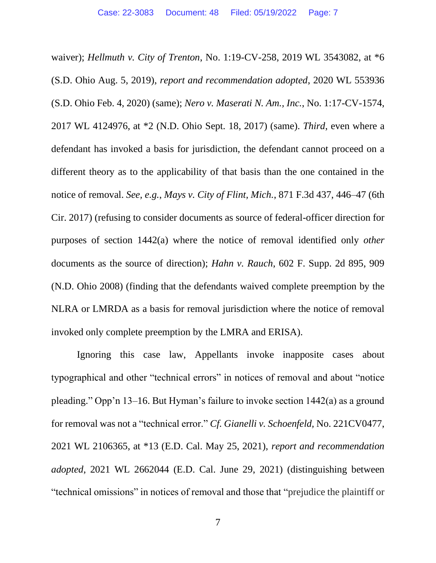waiver); *Hellmuth v. City of Trenton*, No. 1:19-CV-258, 2019 WL 3543082, at \*6 (S.D. Ohio Aug. 5, 2019), *report and recommendation adopted*, 2020 WL 553936 (S.D. Ohio Feb. 4, 2020) (same); *Nero v. Maserati N. Am., Inc.*, No. 1:17-CV-1574, 2017 WL 4124976, at \*2 (N.D. Ohio Sept. 18, 2017) (same). *Third*, even where a defendant has invoked a basis for jurisdiction, the defendant cannot proceed on a different theory as to the applicability of that basis than the one contained in the notice of removal. *See, e.g.*, *Mays v. City of Flint, Mich.*, 871 F.3d 437, 446–47 (6th Cir. 2017) (refusing to consider documents as source of federal-officer direction for purposes of section 1442(a) where the notice of removal identified only *other* documents as the source of direction); *Hahn v. Rauch*, 602 F. Supp. 2d 895, 909 (N.D. Ohio 2008) (finding that the defendants waived complete preemption by the NLRA or LMRDA as a basis for removal jurisdiction where the notice of removal invoked only complete preemption by the LMRA and ERISA).

Ignoring this case law, Appellants invoke inapposite cases about typographical and other "technical errors" in notices of removal and about "notice pleading." Opp'n 13–16. But Hyman's failure to invoke section 1442(a) as a ground for removal was not a "technical error." *Cf. Gianelli v. Schoenfeld,* No. 221CV0477, 2021 WL 2106365, at \*13 (E.D. Cal. May 25, 2021), *report and recommendation adopted*, 2021 WL 2662044 (E.D. Cal. June 29, 2021) (distinguishing between "technical omissions" in notices of removal and those that "prejudice the plaintiff or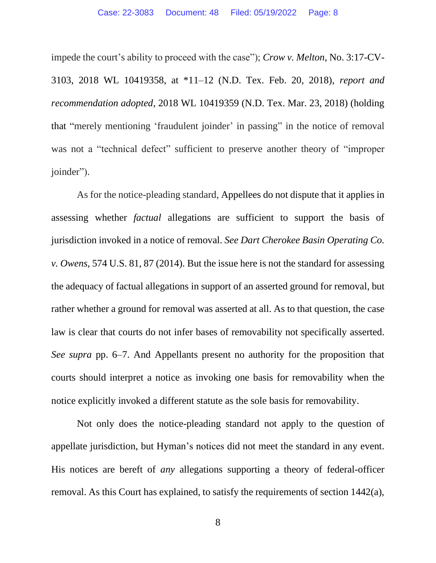impede the court's ability to proceed with the case"); *Crow v. Melton*, No. 3:17-CV-3103, 2018 WL 10419358, at \*11–12 (N.D. Tex. Feb. 20, 2018), *report and recommendation adopted*, 2018 WL 10419359 (N.D. Tex. Mar. 23, 2018) (holding that "merely mentioning 'fraudulent joinder' in passing" in the notice of removal was not a "technical defect" sufficient to preserve another theory of "improper joinder").

As for the notice-pleading standard, Appellees do not dispute that it applies in assessing whether *factual* allegations are sufficient to support the basis of jurisdiction invoked in a notice of removal. *See Dart Cherokee Basin Operating Co. v. Owens*, 574 U.S. 81, 87 (2014). But the issue here is not the standard for assessing the adequacy of factual allegations in support of an asserted ground for removal, but rather whether a ground for removal was asserted at all. As to that question, the case law is clear that courts do not infer bases of removability not specifically asserted. *See supra* pp. 6–7. And Appellants present no authority for the proposition that courts should interpret a notice as invoking one basis for removability when the notice explicitly invoked a different statute as the sole basis for removability.

Not only does the notice-pleading standard not apply to the question of appellate jurisdiction, but Hyman's notices did not meet the standard in any event. His notices are bereft of *any* allegations supporting a theory of federal-officer removal. As this Court has explained, to satisfy the requirements of section 1442(a),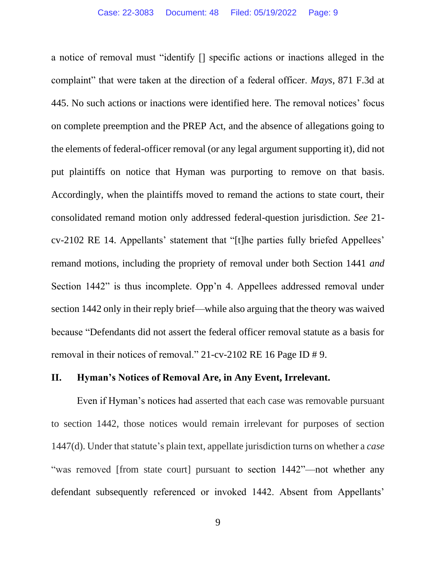a notice of removal must "identify [] specific actions or inactions alleged in the complaint" that were taken at the direction of a federal officer. *Mays*, 871 F.3d at 445. No such actions or inactions were identified here. The removal notices' focus on complete preemption and the PREP Act, and the absence of allegations going to the elements of federal-officer removal (or any legal argument supporting it), did not put plaintiffs on notice that Hyman was purporting to remove on that basis. Accordingly, when the plaintiffs moved to remand the actions to state court, their consolidated remand motion only addressed federal-question jurisdiction. *See* 21 cv-2102 RE 14. Appellants' statement that "[t]he parties fully briefed Appellees' remand motions, including the propriety of removal under both Section 1441 *and* Section 1442" is thus incomplete. Opp'n 4. Appellees addressed removal under section 1442 only in their reply brief—while also arguing that the theory was waived because "Defendants did not assert the federal officer removal statute as a basis for removal in their notices of removal." 21-cv-2102 RE 16 Page ID # 9.

#### **II. Hyman's Notices of Removal Are, in Any Event, Irrelevant.**

Even if Hyman's notices had asserted that each case was removable pursuant to section 1442, those notices would remain irrelevant for purposes of section 1447(d). Under that statute's plain text, appellate jurisdiction turns on whether a *case*  "was removed [from state court] pursuant to section 1442"—not whether any defendant subsequently referenced or invoked 1442. Absent from Appellants'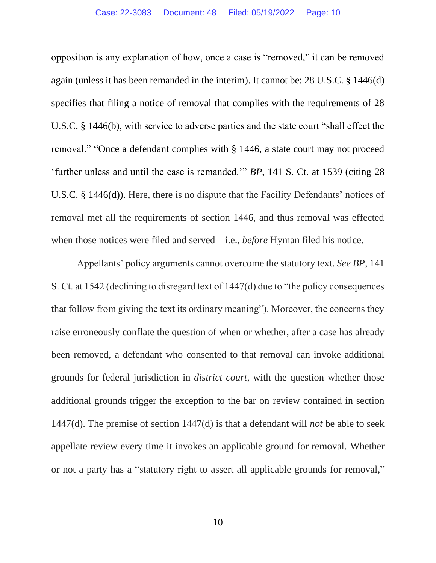opposition is any explanation of how, once a case is "removed," it can be removed again (unless it has been remanded in the interim). It cannot be: 28 U.S.C. § 1446(d) specifies that filing a notice of removal that complies with the requirements of 28 U.S.C. § 1446(b), with service to adverse parties and the state court "shall effect the removal." "Once a defendant complies with § 1446, a state court may not proceed 'further unless and until the case is remanded.'" *BP*, 141 S. Ct. at 1539 (citing 28 U.S.C. § 1446(d)). Here, there is no dispute that the Facility Defendants' notices of removal met all the requirements of section 1446, and thus removal was effected when those notices were filed and served—i.e., *before* Hyman filed his notice.

Appellants' policy arguments cannot overcome the statutory text. *See BP*, 141 S. Ct. at 1542 (declining to disregard text of 1447(d) due to "the policy consequences that follow from giving the text its ordinary meaning"). Moreover, the concerns they raise erroneously conflate the question of when or whether, after a case has already been removed, a defendant who consented to that removal can invoke additional grounds for federal jurisdiction in *district court*, with the question whether those additional grounds trigger the exception to the bar on review contained in section 1447(d). The premise of section 1447(d) is that a defendant will *not* be able to seek appellate review every time it invokes an applicable ground for removal. Whether or not a party has a "statutory right to assert all applicable grounds for removal,"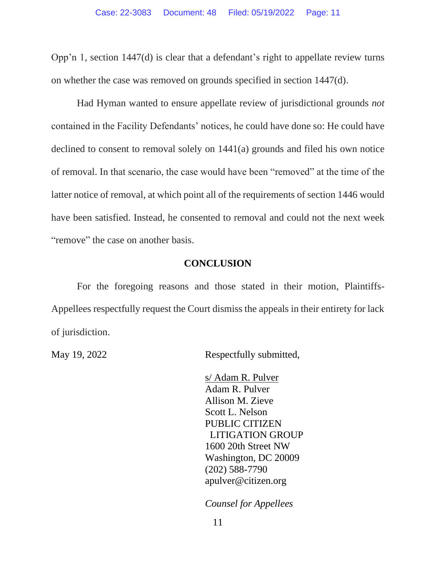Opp'n 1, section 1447(d) is clear that a defendant's right to appellate review turns on whether the case was removed on grounds specified in section 1447(d).

Had Hyman wanted to ensure appellate review of jurisdictional grounds *not*  contained in the Facility Defendants' notices, he could have done so: He could have declined to consent to removal solely on 1441(a) grounds and filed his own notice of removal. In that scenario, the case would have been "removed" at the time of the latter notice of removal, at which point all of the requirements of section 1446 would have been satisfied. Instead, he consented to removal and could not the next week "remove" the case on another basis.

## **CONCLUSION**

For the foregoing reasons and those stated in their motion, Plaintiffs-Appellees respectfully request the Court dismiss the appeals in their entirety for lack of jurisdiction.

May 19, 2022 Respectfully submitted,

s/ Adam R. Pulver Adam R. Pulver Allison M. Zieve Scott L. Nelson PUBLIC CITIZEN LITIGATION GROUP 1600 20th Street NW Washington, DC 20009 (202) 588-7790 apulver@citizen.org

*Counsel for Appellees*